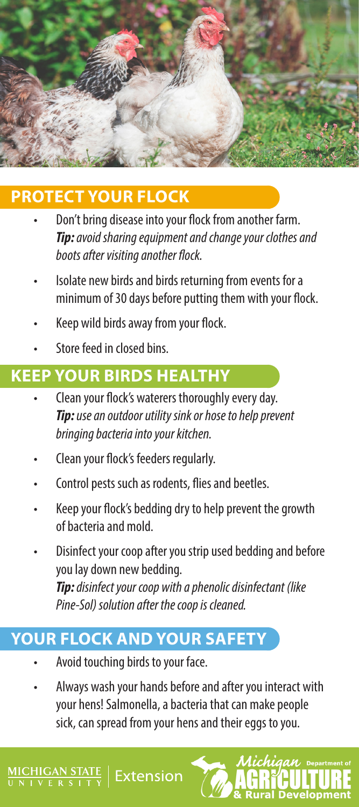

#### **PROTECT YOUR FLOCK**

- Don't bring disease into your flock from another farm. *Tip: avoid sharing equipment and change your clothes and boots after visiting another flock.*
- Isolate new birds and birds returning from events for a minimum of 30 days before putting them with your flock.
- Keep wild birds away from your flock.
- Store feed in closed bins.

# **KEEP YOUR BIRDS HEALTHY**

- Clean your flock's waterers thoroughly every day. *Tip: use an outdoor utility sink or hose to help prevent bringing bacteria into your kitchen.*
- Clean your flock's feeders regularly.
- Control pests such as rodents, flies and beetles.
- Keep your flock's bedding dry to help prevent the growth of bacteria and mold.
- Disinfect your coop after you strip used bedding and before you lay down new bedding. *Tip: disinfect your coop with a phenolic disinfectant (like Pine-Sol) solution after the coop is cleaned.*

## **YOUR FLOCK AND YOUR SAFETY**

- Avoid touching birds to your face.
- Always wash your hands before and after you interact with your hens! Salmonella, a bacteria that can make people sick, can spread from your hens and their eggs to you.